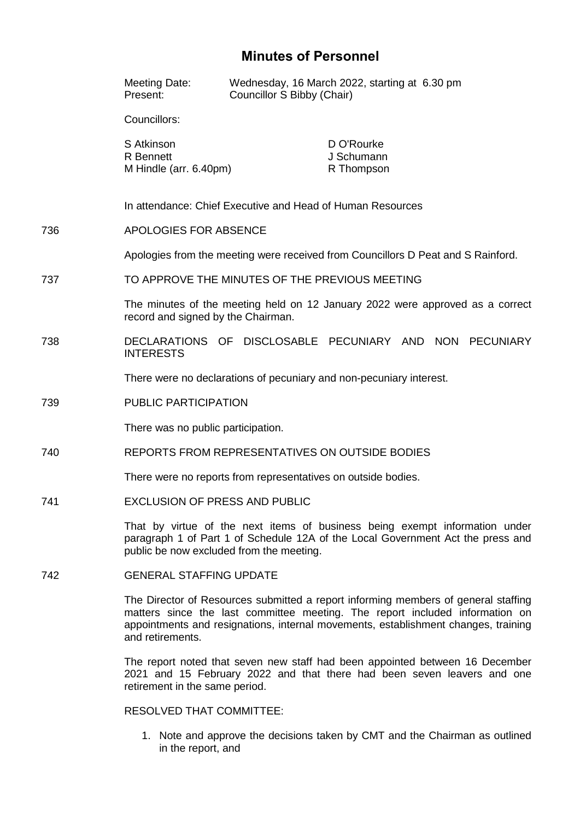## **Minutes of Personnel**

|     | Meeting Date:<br>Present:                                                                                                                                                                                                                                                    | Wednesday, 16 March 2022, starting at 6.30 pm<br>Councillor S Bibby (Chair) |                                        |  |  |  |
|-----|------------------------------------------------------------------------------------------------------------------------------------------------------------------------------------------------------------------------------------------------------------------------------|-----------------------------------------------------------------------------|----------------------------------------|--|--|--|
|     | Councillors:                                                                                                                                                                                                                                                                 |                                                                             |                                        |  |  |  |
|     | S Atkinson<br><b>R</b> Bennett<br>M Hindle (arr. 6.40pm)                                                                                                                                                                                                                     |                                                                             | D O'Rourke<br>J Schumann<br>R Thompson |  |  |  |
|     | In attendance: Chief Executive and Head of Human Resources                                                                                                                                                                                                                   |                                                                             |                                        |  |  |  |
| 736 | <b>APOLOGIES FOR ABSENCE</b>                                                                                                                                                                                                                                                 |                                                                             |                                        |  |  |  |
|     | Apologies from the meeting were received from Councillors D Peat and S Rainford.                                                                                                                                                                                             |                                                                             |                                        |  |  |  |
| 737 | TO APPROVE THE MINUTES OF THE PREVIOUS MEETING                                                                                                                                                                                                                               |                                                                             |                                        |  |  |  |
|     | The minutes of the meeting held on 12 January 2022 were approved as a correct<br>record and signed by the Chairman.                                                                                                                                                          |                                                                             |                                        |  |  |  |
| 738 | <b>INTERESTS</b>                                                                                                                                                                                                                                                             | DECLARATIONS OF DISCLOSABLE PECUNIARY AND NON PECUNIARY                     |                                        |  |  |  |
|     | There were no declarations of pecuniary and non-pecuniary interest.                                                                                                                                                                                                          |                                                                             |                                        |  |  |  |
| 739 | PUBLIC PARTICIPATION                                                                                                                                                                                                                                                         |                                                                             |                                        |  |  |  |
|     | There was no public participation.                                                                                                                                                                                                                                           |                                                                             |                                        |  |  |  |
| 740 | REPORTS FROM REPRESENTATIVES ON OUTSIDE BODIES                                                                                                                                                                                                                               |                                                                             |                                        |  |  |  |
|     | There were no reports from representatives on outside bodies.                                                                                                                                                                                                                |                                                                             |                                        |  |  |  |
| 741 | <b>EXCLUSION OF PRESS AND PUBLIC</b>                                                                                                                                                                                                                                         |                                                                             |                                        |  |  |  |
|     | That by virtue of the next items of business being exempt information under<br>paragraph 1 of Part 1 of Schedule 12A of the Local Government Act the press and<br>public be now excluded from the meeting.                                                                   |                                                                             |                                        |  |  |  |
| 742 | <b>GENERAL STAFFING UPDATE</b>                                                                                                                                                                                                                                               |                                                                             |                                        |  |  |  |
|     | The Director of Resources submitted a report informing members of general staffing<br>matters since the last committee meeting. The report included information on<br>appointments and resignations, internal movements, establishment changes, training<br>and retirements. |                                                                             |                                        |  |  |  |
|     | The report noted that seven new staff had been appointed between 16 December<br>2021 and 15 February 2022 and that there had been seven leavers and one<br>retirement in the same period.                                                                                    |                                                                             |                                        |  |  |  |

RESOLVED THAT COMMITTEE:

1. Note and approve the decisions taken by CMT and the Chairman as outlined in the report, and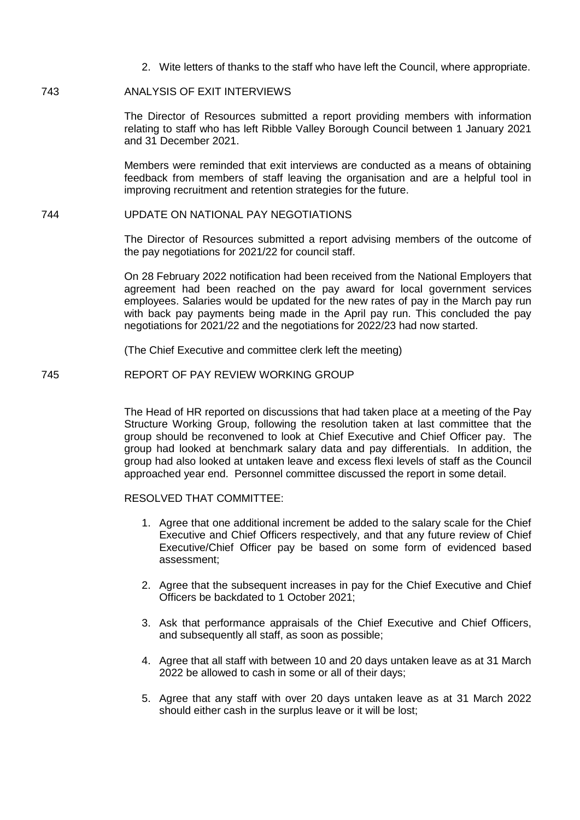2. Wite letters of thanks to the staff who have left the Council, where appropriate.

## 743 ANALYSIS OF EXIT INTERVIEWS

The Director of Resources submitted a report providing members with information relating to staff who has left Ribble Valley Borough Council between 1 January 2021 and 31 December 2021.

Members were reminded that exit interviews are conducted as a means of obtaining feedback from members of staff leaving the organisation and are a helpful tool in improving recruitment and retention strategies for the future.

## 744 UPDATE ON NATIONAL PAY NEGOTIATIONS

The Director of Resources submitted a report advising members of the outcome of the pay negotiations for 2021/22 for council staff.

On 28 February 2022 notification had been received from the National Employers that agreement had been reached on the pay award for local government services employees. Salaries would be updated for the new rates of pay in the March pay run with back pay payments being made in the April pay run. This concluded the pay negotiations for 2021/22 and the negotiations for 2022/23 had now started.

(The Chief Executive and committee clerk left the meeting)

745 REPORT OF PAY REVIEW WORKING GROUP

The Head of HR reported on discussions that had taken place at a meeting of the Pay Structure Working Group, following the resolution taken at last committee that the group should be reconvened to look at Chief Executive and Chief Officer pay. The group had looked at benchmark salary data and pay differentials. In addition, the group had also looked at untaken leave and excess flexi levels of staff as the Council approached year end. Personnel committee discussed the report in some detail.

## RESOLVED THAT COMMITTEE:

- 1. Agree that one additional increment be added to the salary scale for the Chief Executive and Chief Officers respectively, and that any future review of Chief Executive/Chief Officer pay be based on some form of evidenced based assessment;
- 2. Agree that the subsequent increases in pay for the Chief Executive and Chief Officers be backdated to 1 October 2021;
- 3. Ask that performance appraisals of the Chief Executive and Chief Officers, and subsequently all staff, as soon as possible;
- 4. Agree that all staff with between 10 and 20 days untaken leave as at 31 March 2022 be allowed to cash in some or all of their days;
- 5. Agree that any staff with over 20 days untaken leave as at 31 March 2022 should either cash in the surplus leave or it will be lost;